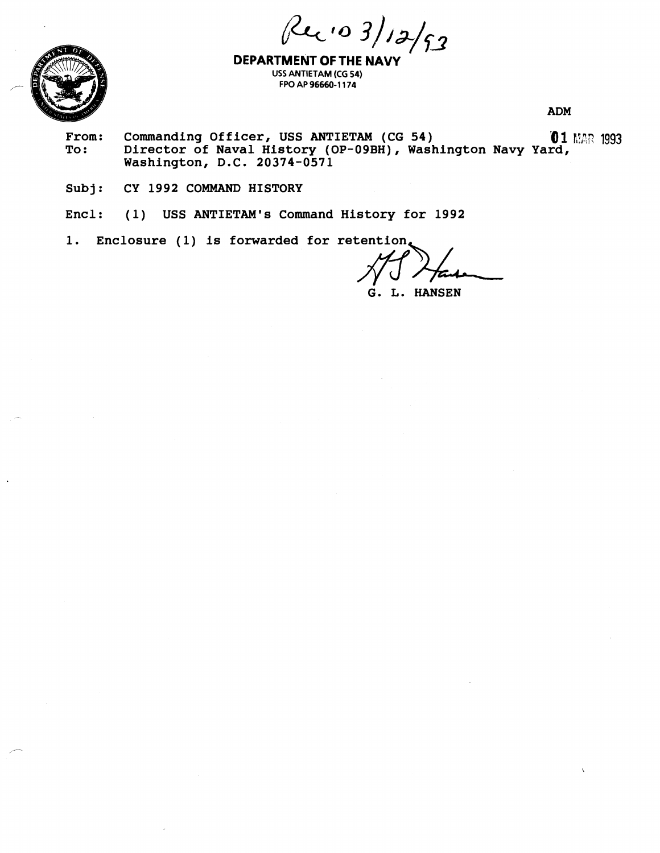Ruio 3/12/53



**DEPARTMENT OFTHE NAVY USS ANTIETAM (CG 54) FPO AP 96660-1 174** 

**ADM** 

- **From:** Commanding Officer, USS ANTIETAM (CG 54) **1993**<br>To: Director of Naval History (OP-09BH), Washington Navy Yard, **To: Director of Naval History (OP-09BH), Washington Navy Yard, Washington, D.C. 20374-0571**
- **Subj: CY 1992 COMMAND HISTORY**

**Encl: (1) USS ANTIETAM'S Command History for 1992** 

**1. Enclosure (1) is forwarded for retention** 

 $f(x) = \frac{1992}{\pi}$ <br> *fluid*  $\pi$ <br> *film*<br> *film*  $\pi$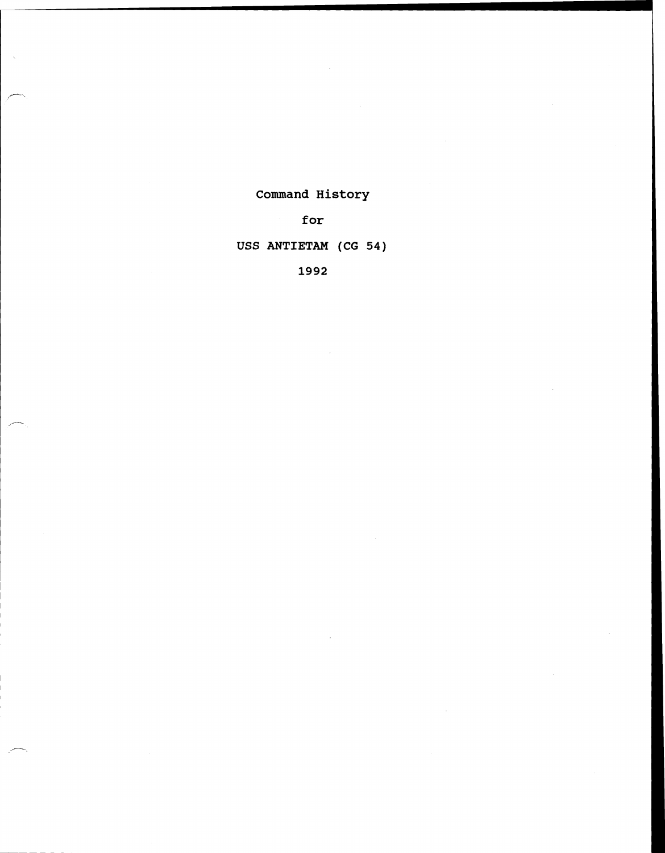# **Command History**

**for** 

# **USS ANTIETAM (CG 54)**

**1992**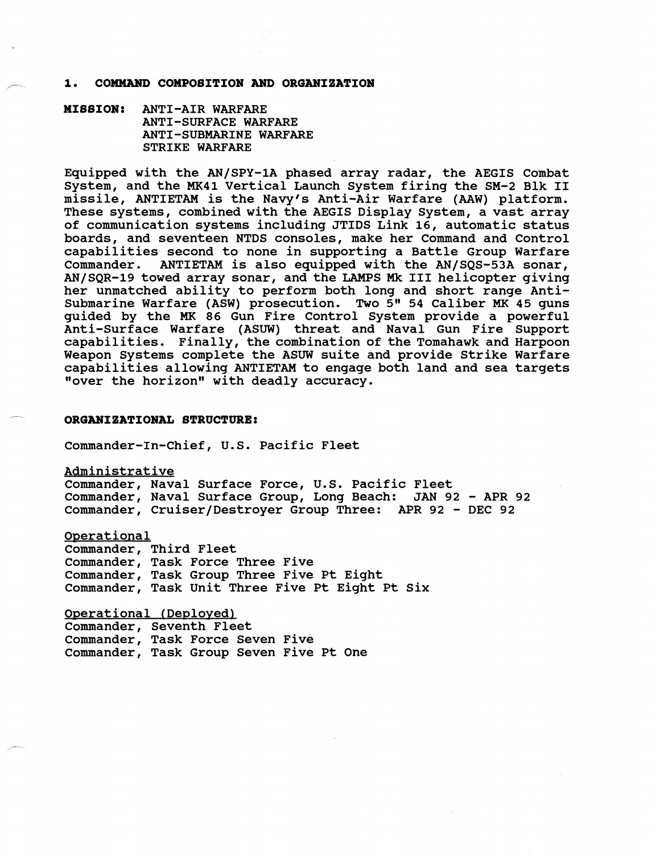### 1. COMMAND COMPOSITION AND ORGANIZATION

**MISSION: ANTI-AIR WARFARE ANTI-SURFACE WARFARE ANTI-SUBMARINE WARFARE STRIKE WARFARE** 

**Equipped with the AN/SPY-1A phased array radar, the AEGIS Combat System, and the MK41 Vertical Launch System firing the SM-2 Blk I1 missile, ANTIETAM is the Navy's Anti-Air Warfare (AAW) platform. These systems, combined with the AEGIS Display System, a vast array of communication systems including JTIDS Link 16, automatic status boards, and seventeen NTDS consoles, make her Command and Control capabilities second to none in supporting a Battle Group Warfare Commander. ANTIETAM is also equipped with the AN/SQS-53A sonar, AN/SQR-19 towed array sonar, and the LAMPS Mk I11 helicopter giving her unmatched ability to perform both long and short range Anti-**Submarine Warfare (ASW) prosecution. Two 5" 54 Caliber MK 45 guns **guided by the MK 86 Gun Fire Control System provide a powerful Anti-Surface Warfare (ASUW) threat and Naval Gun Fire Support capabilities. Finally, the combination of the Tomahawk and Harpoon Weapon Systems complete the ASUW suite and provide Strike Warfare capabilities allowing ANTIETAM to engage both land and sea targets**  "over the horizon" with deadly accuracy.

### 7 ~ **ORGANIZATIONAL STRUCTURE:**

**Commander-1n-Chief, U.S. Pacific Fleet** 

**Administrative** 

**Commander, Naval Surface Force, U.S. Pacific Fleet Commander, Naval Surface Group, Long Beach: JAN 92** - **APR 92 Commander, Cruiser/Destroyer Group Three: APR 92** - **DEC 92** 

**Operational** 

**Commander, Third Fleet Commander, Task Force Three Five Commander, Task Group Three Five Pt Eight Commander, Task Unit Three Five Pt Eight Pt Six** 

**Operational (Deplovedl** 

**Commander, Seventh Fleet Commander, Task Force Seven Five Commander, Task Group Seven Five Pt One**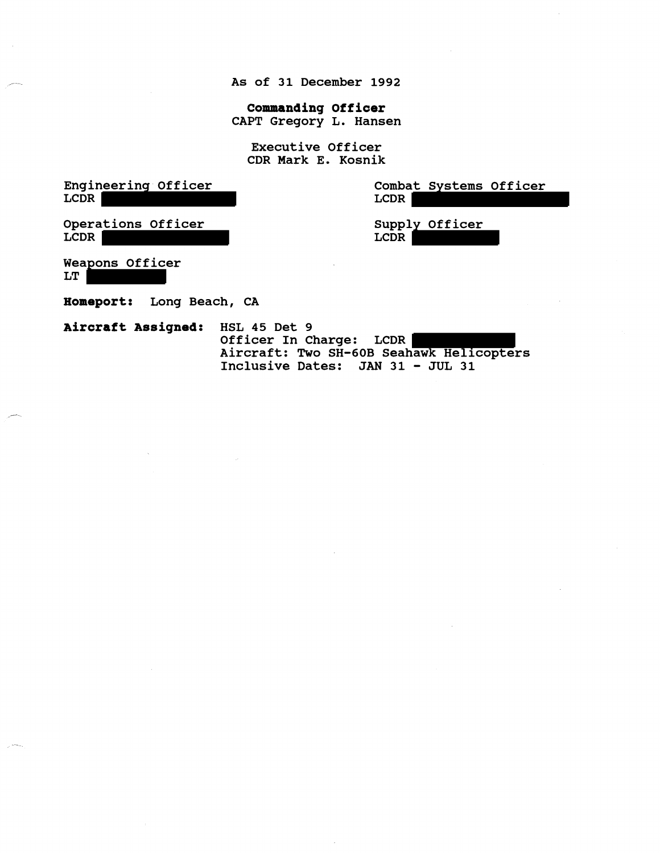**As of 31 December 1992** 

**Commanding Officer CAPT Gregory L. Hansen** 

**Executive Officer CDR Mark E. Kosnik** 

**Engineering Officer LCDR** 

**Combat Systems Officer LCDR** 

**Operations Officer LCDR** 

**Supply Officer LCDR** 

**Weapons Officer LT** 

**Homeport: Long Beach, CA** 

**Aircraft Assigned: HSL 45 Det 9 Officer In Charge: LCDR Aircraft: Two SH-60B Seahawk Helicopters Inclusive Dates: JAN 31** - **JUL 31**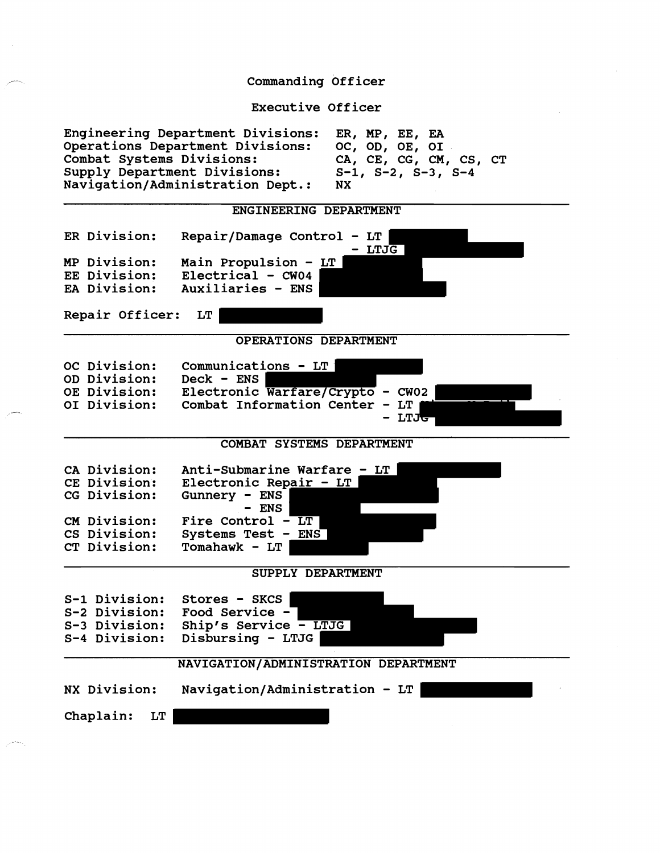### Commanding Officer

Executive Officer

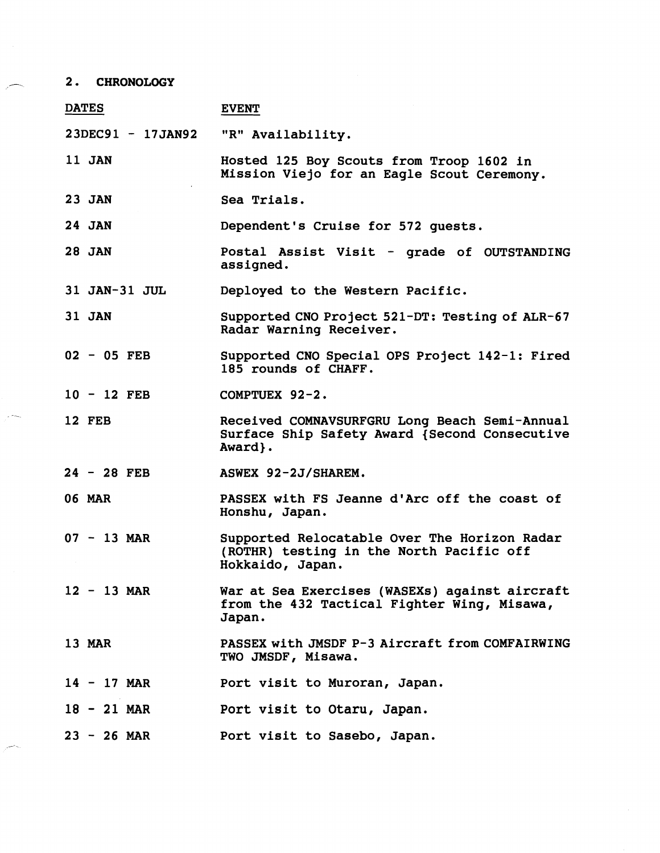# **2. CHRONOLOGY**

| <b>DATES</b>      | <b>EVENT</b>                                                                                                 |
|-------------------|--------------------------------------------------------------------------------------------------------------|
| 23DEC91 - 17JAN92 | "R" Availability.                                                                                            |
| 11 JAN            | Hosted 125 Boy Scouts from Troop 1602 in<br>Mission Viejo for an Eagle Scout Ceremony.                       |
| <b>23 JAN</b>     | Sea Trials.                                                                                                  |
| <b>24 JAN</b>     | Dependent's Cruise for 572 quests.                                                                           |
| <b>28 JAN</b>     | Postal Assist Visit - grade of OUTSTANDING<br>assigned.                                                      |
| 31 JAN-31 JUL     | Deployed to the Western Pacific.                                                                             |
| <b>31 JAN</b>     | Supported CNO Project 521-DT: Testing of ALR-67<br>Radar Warning Receiver.                                   |
| $02 - 05$ FEB     | Supported CNO Special OPS Project 142-1: Fired<br>185 rounds of CHAFF.                                       |
| $10 - 12$ FEB     | COMPTUEX 92-2.                                                                                               |
| <b>12 FEB</b>     | Received COMNAVSURFGRU Long Beach Semi-Annual<br>Surface Ship Safety Award {Second Consecutive<br>Award}.    |
| $24 - 28$ FEB     | ASWEX 92-2J/SHAREM.                                                                                          |
| <b>06 MAR</b>     | PASSEX with FS Jeanne d'Arc off the coast of<br>Honshu, Japan.                                               |
| $07 - 13$ MAR     | Supported Relocatable Over The Horizon Radar<br>(ROTHR) testing in the North Pacific off<br>Hokkaido, Japan. |
| $12 - 13$ MAR     | War at Sea Exercises (WASEXs) against aircraft<br>from the 432 Tactical Fighter Wing, Misawa,<br>Japan.      |
| <b>13 MAR</b>     | PASSEX with JMSDF P-3 Aircraft from COMFAIRWING<br>TWO JMSDF, Misawa.                                        |
| $14 - 17$ MAR     | Port visit to Muroran, Japan.                                                                                |
| $18 - 21$ MAR     | Port visit to Otaru, Japan.                                                                                  |
| $23 - 26$ MAR     | Port visit to Sasebo, Japan.                                                                                 |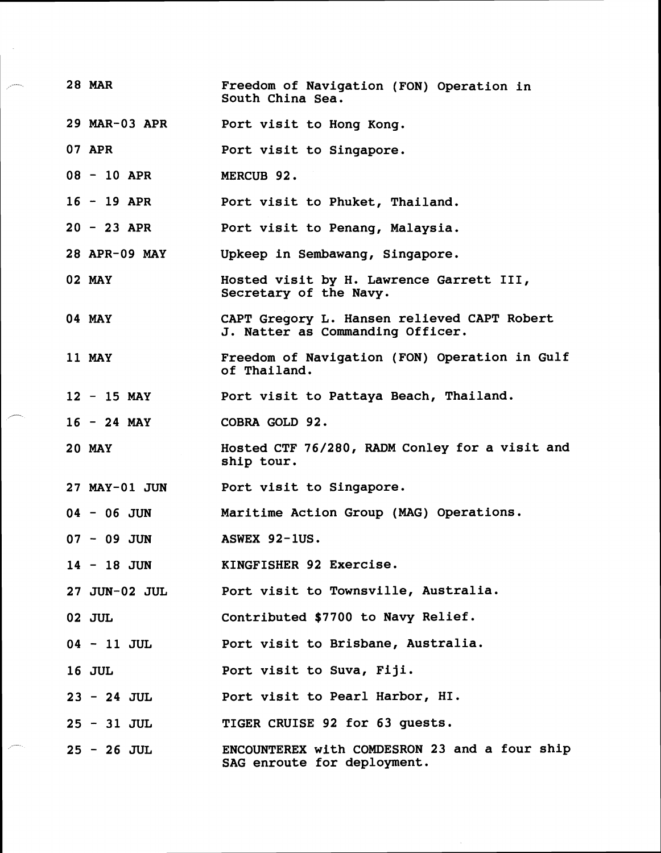| <b>28 MAR</b>        | Freedom of Navigation (FON) Operation in<br>South China Sea.                    |
|----------------------|---------------------------------------------------------------------------------|
| 29 MAR-03 APR        | Port visit to Hong Kong.                                                        |
| 07 APR               | Port visit to Singapore.                                                        |
| $08 - 10$ APR        | MERCUB 92.                                                                      |
| $16 - 19$ APR        | Port visit to Phuket, Thailand.                                                 |
| $20 - 23$ APR        | Port visit to Penang, Malaysia.                                                 |
| 28 APR-09 MAY        | Upkeep in Sembawang, Singapore.                                                 |
| <b>02 MAY</b>        | Hosted visit by H. Lawrence Garrett III,<br>Secretary of the Navy.              |
| 04 MAY               | CAPT Gregory L. Hansen relieved CAPT Robert<br>J. Natter as Commanding Officer. |
| 11 MAY               | Freedom of Navigation (FON) Operation in Gulf<br>of Thailand.                   |
| $12 - 15$ MAY        | Port visit to Pattaya Beach, Thailand.                                          |
| $16 - 24$ MAY        | COBRA GOLD 92.                                                                  |
| <b>20 MAY</b>        | Hosted CTF 76/280, RADM Conley for a visit and<br>ship tour.                    |
| <b>27 MAY-01 JUN</b> | Port visit to Singapore.                                                        |
| $04 - 06$ JUN        | Maritime Action Group (MAG) Operations.                                         |
| $07 - 09$ JUN        | ASWEX 92-1US.                                                                   |
| 14 - 18 JUN          | KINGFISHER 92 Exercise.                                                         |
| <b>27 JUN-02 JUL</b> | Port visit to Townsville, Australia.                                            |
| 02 JUL               | Contributed \$7700 to Navy Relief.                                              |
| $04 - 11$ JUL        | Port visit to Brisbane, Australia.                                              |
| <b>16 JUL</b>        | Port visit to Suva, Fiji.                                                       |
| $23 - 24$ JUL        | Port visit to Pearl Harbor, HI.                                                 |
| $25 - 31$ JUL        | TIGER CRUISE 92 for 63 guests.                                                  |
| $25 - 26$ JUL        | ENCOUNTEREX with COMDESRON 23 and a four ship<br>SAG enroute for deployment.    |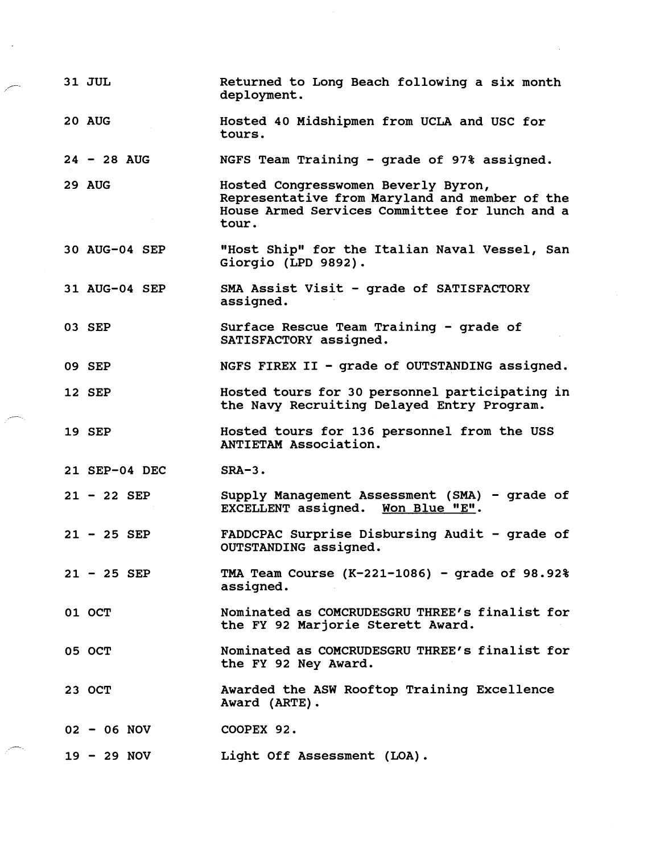|  | 31 JUL        | Returned to Long Beach following a six month<br>deployment.                                                                                      |
|--|---------------|--------------------------------------------------------------------------------------------------------------------------------------------------|
|  | <b>20 AUG</b> | Hosted 40 Midshipmen from UCLA and USC for<br>tours.                                                                                             |
|  | $24 - 28$ AUG | NGFS Team Training - grade of 97% assigned.                                                                                                      |
|  | 29 AUG        | Hosted Congresswomen Beverly Byron,<br>Representative from Maryland and member of the<br>House Armed Services Committee for lunch and a<br>tour. |
|  | 30 AUG-04 SEP | "Host Ship" for the Italian Naval Vessel, San<br>Giorgio (LPD 9892).                                                                             |
|  | 31 AUG-04 SEP | SMA Assist Visit - grade of SATISFACTORY<br>assigned.                                                                                            |
|  | 03 SEP        | Surface Rescue Team Training - grade of<br>SATISFACTORY assigned.                                                                                |
|  | 09 SEP        | NGFS FIREX II - grade of OUTSTANDING assigned.                                                                                                   |
|  | <b>12 SEP</b> | Hosted tours for 30 personnel participating in<br>the Navy Recruiting Delayed Entry Program.                                                     |
|  | 19 SEP        | Hosted tours for 136 personnel from the USS<br>ANTIETAM Association.                                                                             |
|  | 21 SEP-04 DEC | $SRA-3.$                                                                                                                                         |
|  | $21 - 22$ SEP | Supply Management Assessment (SMA) - grade of<br>EXCELLENT assigned. Won Blue "E".                                                               |
|  | $21 - 25$ SEP | FADDCPAC Surprise Disbursing Audit - grade of<br>OUTSTANDING assigned.                                                                           |
|  | $21 - 25$ SEP | TMA Team Course $(K-221-1086)$ - grade of 98.92%<br>assigned.                                                                                    |
|  | 01 OCT        | Nominated as COMCRUDESGRU THREE's finalist for<br>the FY 92 Marjorie Sterett Award.                                                              |
|  | 05 OCT        | Nominated as COMCRUDESGRU THREE's finalist for<br>the FY 92 Ney Award.                                                                           |
|  | 23 OCT        | Awarded the ASW Rooftop Training Excellence<br>Award (ARTE).                                                                                     |
|  | $02 - 06$ NOV | COOPEX 92.                                                                                                                                       |
|  | $19 - 29 NOV$ | Light Off Assessment (LOA).                                                                                                                      |

 $\label{eq:2} \frac{1}{\sqrt{2}}\left(\frac{1}{2}\right)^{2} \left(\frac{1}{2}\right)^{2} \left(\frac{1}{2}\right)^{2}$ 

 $\mathcal{A}^{\mathcal{A}}_{\mathcal{A}}$ 

 $\hat{\boldsymbol{\beta}}$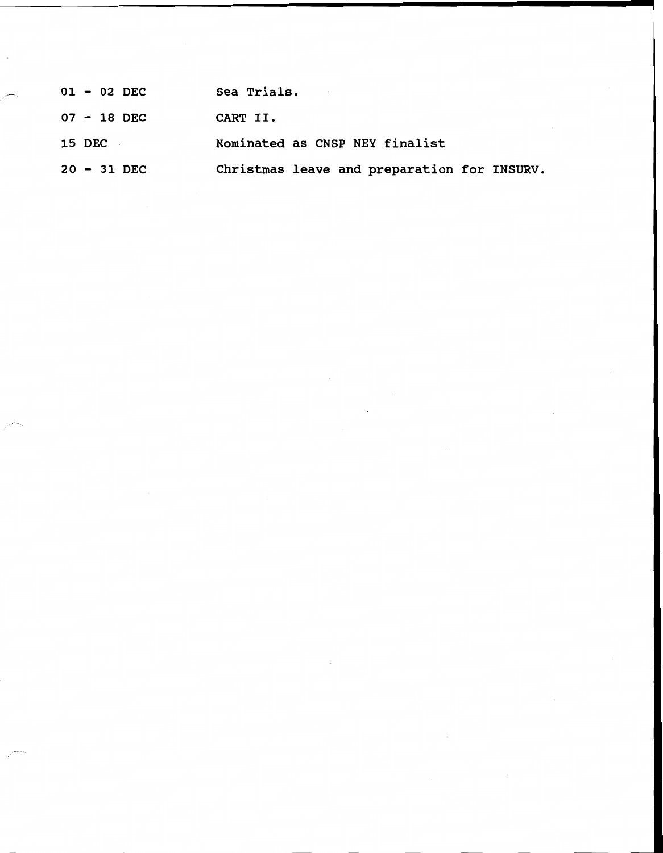| $01 - 02$ DEC | Sea Trials.                                 |
|---------------|---------------------------------------------|
| $07 - 18$ DEC | CART II.                                    |
| <b>15 DEC</b> | Nominated as CNSP NEY finalist              |
| $20 - 31$ DEC | Christmas leave and preparation for INSURV. |

 $\sim 10^{11}$  km  $^{-1}$ 

 $\sim 10^{-11}$ 

 $\sim$ 

 $\mathcal{L}^{\text{max}}_{\text{max}}$ 

 $\overline{\phantom{a}}$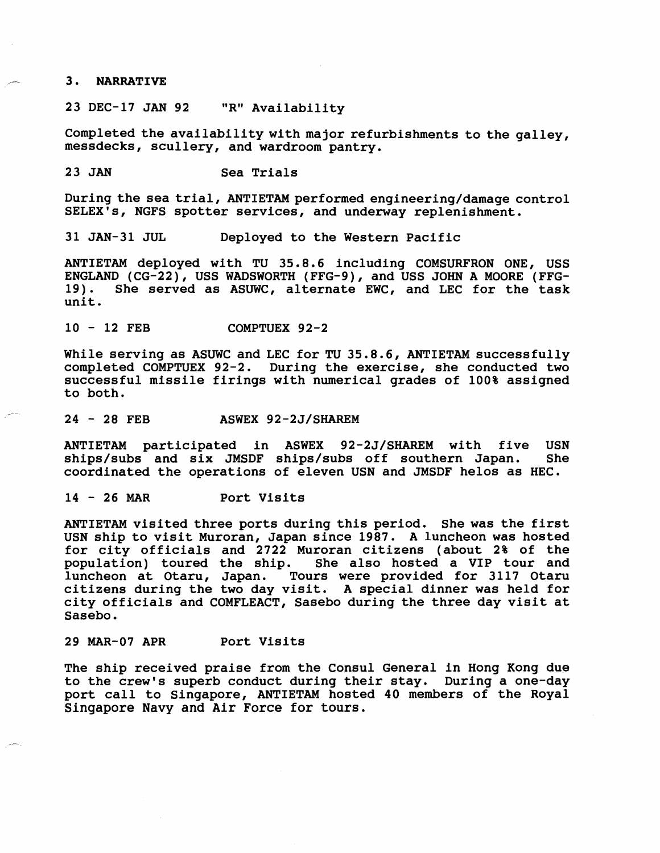### **3.** NARRATIVE

23 DEC-17 JAN 92 "R" Availability

Completed the availability with major refurbishments to the galley, messdecks, scullery, and wardroom pantry.

23 JAN Sea Trials

During the sea trial, ANTIETAM performed engineering/damage control SELEX's, NGFS spotter services, and underway replenishment.

31 JAN-31 JUL Deployed to the Western Pacific

ANTIETAM deployed with TU 35.8.6 including COMSURFRON ONE, USS ENGLAND (CG-22), USS WADSWORTH (FFG-9), and USS JOHN A MOORE (FFG-She served as ASUWC, alternate EWC, and LEC for the task unit.

<sup>10</sup>- 12 FEB COMPTUEX 92-2

While serving as ASUWC and LEC for **TU** 35.8.6, ANTIETAM successfully completed COMPTUEX 92-2. During the exercise, she conducted two successful missile firings with numerical grades of 100% assigned to both.

### ,-- 24 - 28 FEB ASWEX 92-2J/SHAREM

ANTIETAM participated in ASWEX 92-2J/SHAREM with five USN ships/subs and six JMSDF ships/subs off southern Japan. She ships/subs and six JMSDF ships/subs off southern Japan. coordinated the operations of eleven USN and JMSDF helos as HEC.

<sup>14</sup>- 26 MAR Port Visits

ANTIETAM visited three ports during this period. She was the first USN ship to visit Muroran, Japan since 1987. A luncheon was hosted for city officials and 2722 Muroran citizens (about 2% of the She also hosted a VIP tour and luncheon at Otaru, Japan. Tours were provided for 3117 Otaru citizens during the two day visit. A special dinner was held for city officials and COMFLEACT, Sasebo during the three day visit at Sasebo.

### 29 MAR-07 APR Port Visits

The ship received praise from the Consul General in Hong Kong due to the crew's superb conduct during their stay. During a one-day port call to Singapore, ANTIETAM hosted 40 members of the Royal Singapore Navy and Air Force for tours.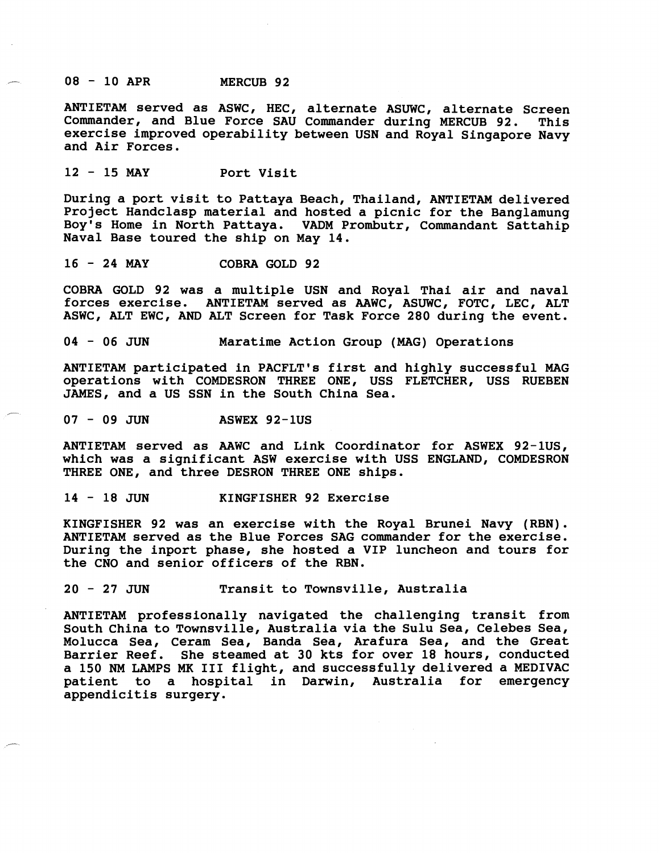**<sup>08</sup>**- **10 APR MERCUB 92** 

**ANTIETAM served as ASWC, HEC, alternate ASUWC, alternate Screen Commander, and Blue Force SAU Commander during MERCUB 92. This exercise improved operability between USN and Royal Singapore Navy and Air Forces.** 

**<sup>12</sup>**- **15 MAY Port Visit** 

**During a port visit to Pattaya Beach, Thailand, ANTIETAM delivered Project Handclasp material and hosted a picnic for the Banglamung Boy's Home in North Pattaya. VADM Prombutr, Commandant Sattahip Naval Base toured the ship on May 14.** 

**<sup>16</sup>**- **24 MAY COBRA GOLD 92** 

**COBRA GOLD 92 was a multiple USN and Royal Thai air and naval forces exercise. ANTIETAM served as AAWC, ASUWC, FOTC, LEC, ALT ASWC, ALT EWC, AND ALT Screen for Task Force 280 during the event.** 

**<sup>04</sup>**- **06 JUN Maratime Action Group (MAG) Operations** 

**ANTIETAM participated in PACFLT's first and highly successful MAG operations with COMDESRON THREE ONE, USS FLETCHER, USS RUEBEN JAMES, and a US SSN in the South China Sea.** 

**<sup>07</sup>**- **09 JUN ASWEX 92-1US** 

 $\overline{a}$ 

**ANTIETAM served as AAWC and Link Coordinator for ASWEX 92-lUS, which was a significant ASW exercise with USS ENGLAND, COMDESRON THREE ONE, and three DESRON THREE ONE ships.** 

**<sup>14</sup>**- **18 JUN KINGFISHER 92 Exercise** 

**KINGFISHER 92 was an exercise with the Royal Brunei Navy (RBN). ANTIETAM served as the Blue Forces SAG commander for the exercise. During the inport phase, she hosted a VIP luncheon and tours for the CNO and senior officers of the RBN.** 

**<sup>20</sup>**- **27 JUN Transit to Townsville, Australia** 

**ANTIETAM professionally navigated the challenging transit from South China to Townsville, Australia via the Sulu Sea, Celebes Sea, Molucca Sea, Ceram Sea, Banda Sea, Arafura Sea, and the Great Barrier Reef. She steamed at 30 kts for over 18 hours, conducted a 150 NM LAMPS MK I11 flight, and successfully delivered a MEDIVAC patient to a hospital in Darwin, Australia for emergency appendicitis surgery.**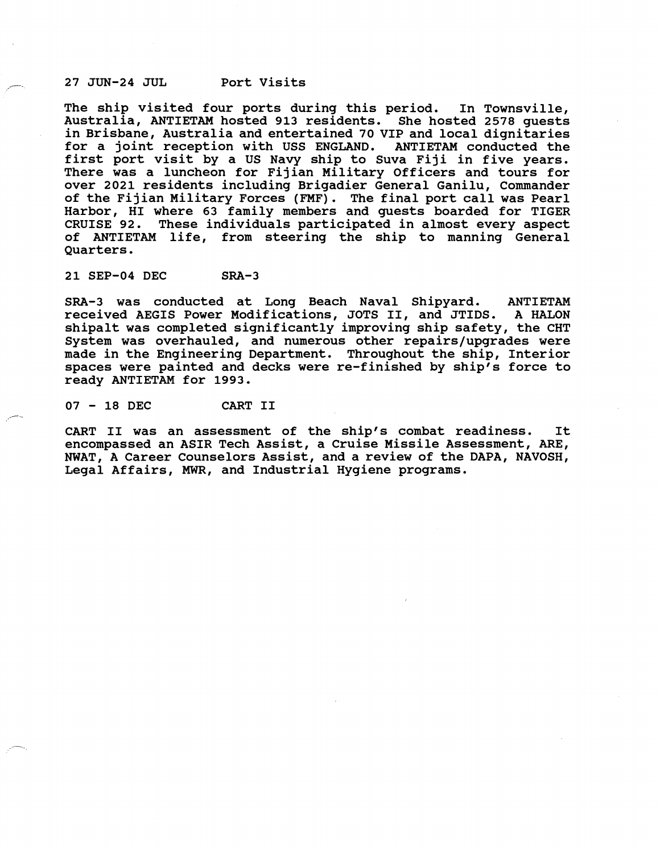-. **27 JUN-24 JUL Port Visits** 

**The ship visited four ports during this period. In Townsville, Australia, ANTIETAM hosted 913 residents. She hosted 2578 guests in Brisbane, Australia and entertained 70 VIP and local dignitaries for a joint reception with USS ENGLAND. ANTIETAM conducted the first port visit by a US Navy ship to Suva Fiji in five years. There was a luncheon for Fijian Military Officers and tours for over 2021 residents including Brigadier General Ganilu, Commander of the Fijian Military Forces (FMF). The final port call was Pearl Harbor, HI where 63 family members and guests boarded for TIGER CRUISE 92. These individuals participated in almost every aspect of ANTIETAM life, from steering the ship to manning General Quarters.** 

**21 SEP-04 DEC SRA-3** 

SRA-3 was conducted at Long Beach Naval Shipyard. ANTIETAM **received AEGIS Power Modifications, JOTS 11, and JTIDS. A HALON shipalt was completed significantly improving ship safety, the CHT System was overhauled, and numerous other repairs/upgrades were made in the Engineering Department. Throughout the ship, Interior**  spaces were painted and decks were re-finished by ship's force to **ready ANTIETAM for 1993.** 

**<sup>07</sup>**- **18 DEC CART I1** /-

**CART I1 was an assessment of the ship's combat readiness. It encompassed an ASIR Tech Assist, a Cruise Missile Assessment, ARE, NWAT, A Career Counselors Assist, and a review of the DAPA, NAVOSH, Legal Affairs, MWR, and Industrial Hygiene programs.**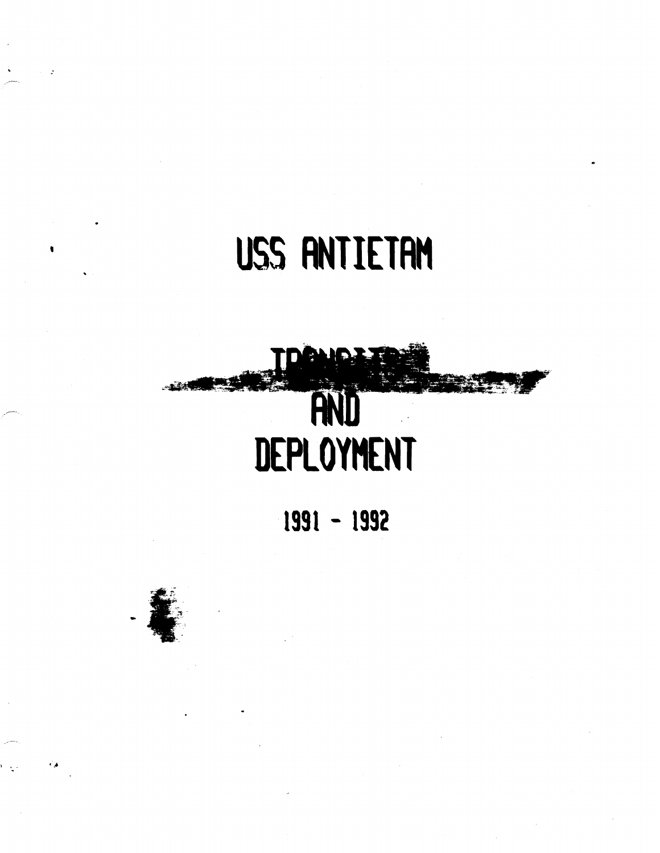# **USS RNTIETRN**

# AND **DEPLOYMENT**

**1991** - **1992** 



-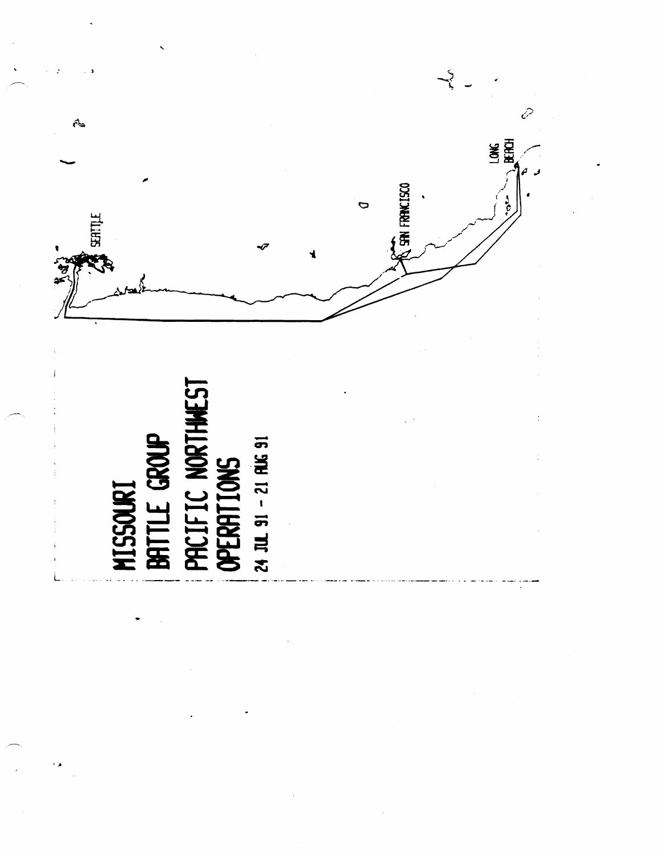

MISSOURI<br>| BATTLE GROUP<br>| PACIFIC NORTHAEST<br>| OPERATIONS 24 JUL 91 - 21 RUG 91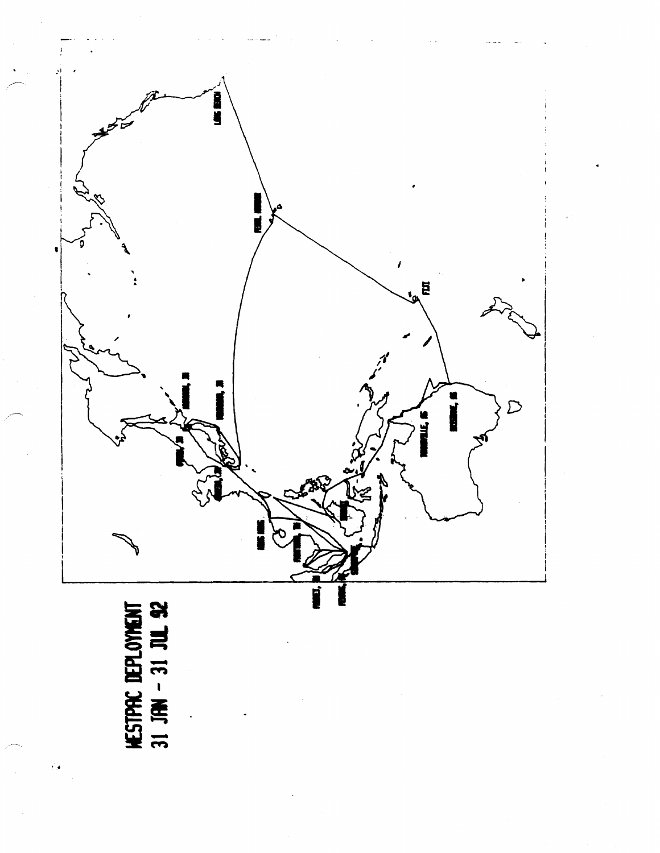

HESTPRE DEPLOYMENT<br>31 JHN - 31 JUL 92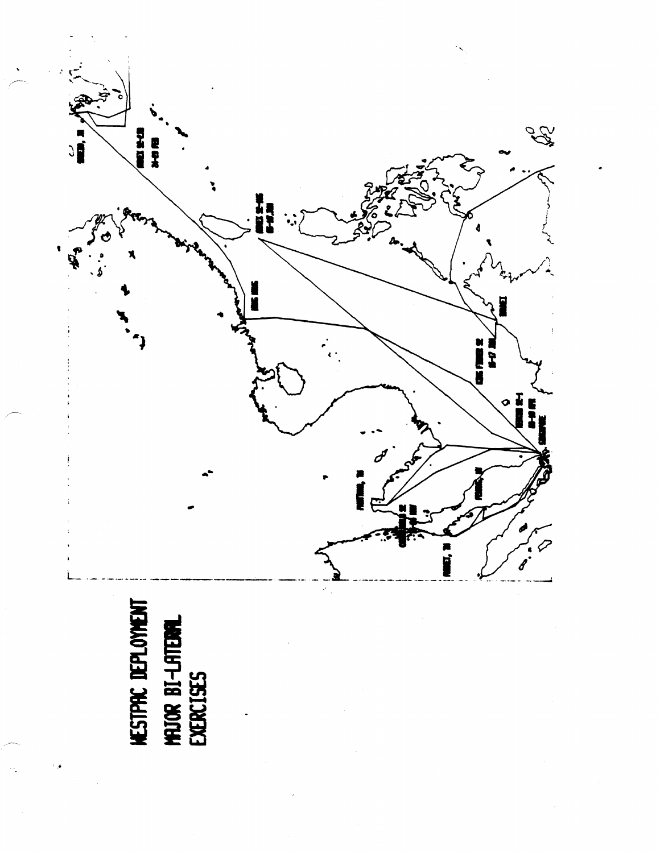# HESTPRE DEPLOYMENT<br>MAJOR BI-LATEURAL<br>EXERCISES